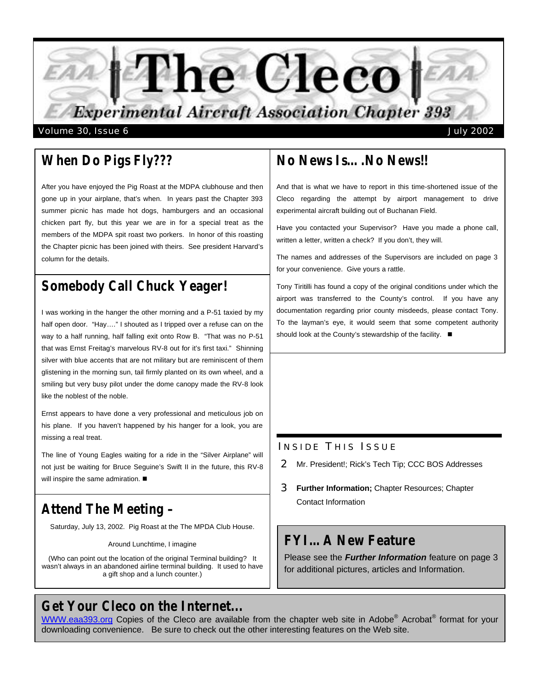

*When Do Pigs Fly???*

After you have enjoyed the Pig Roast at the MDPA clubhouse and then gone up in your airplane, that's when. In years past the Chapter 393 summer picnic has made hot dogs, hamburgers and an occasional chicken part fly, but this year we are in for a special treat as the members of the MDPA spit roast two porkers. In honor of this roasting the Chapter picnic has been joined with theirs. See president Harvard's column for the details.

# *Somebody Call Chuck Yeager!*

I was working in the hanger the other morning and a P-51 taxied by my half open door. "Hay...." I shouted as I tripped over a refuse can on the way to a half running, half falling exit onto Row B. "That was no P-51 that was Ernst Freitag's marvelous RV-8 out for it's first taxi." Shinning silver with blue accents that are not military but are reminiscent of them glistening in the morning sun, tail firmly planted on its own wheel, and a smiling but very busy pilot under the dome canopy made the RV-8 look like the noblest of the noble.

Ernst appears to have done a very professional and meticulous job on his plane. If you haven't happened by his hanger for a look, you are missing a real treat.

The line of Young Eagles waiting for a ride in the "Silver Airplane" will not just be waiting for Bruce Seguine's Swift II in the future, this RV-8 will inspire the same admiration.  $\blacksquare$ 

# *Attend The Meeting –*

Saturday, July 13, 2002. Pig Roast at the The MPDA Club House.

Around Lunchtime, I imagine

(Who can point out the location of the original Terminal building? It wasn't always in an abandoned airline terminal building. It used to have a gift shop and a lunch counter.)

#### *Get Your Cleco on the Internet...*

# *No News Is….No News!!*

And that is what we have to report in this time-shortened issue of the Cleco regarding the attempt by airport management to drive experimental aircraft building out of Buchanan Field.

Have you contacted your Supervisor? Have you made a phone call, written a letter, written a check? If you don't, they will.

The names and addresses of the Supervisors are included on page 3 for your convenience. Give yours a rattle.

Tony Tiritilli has found a copy of the original conditions under which the airport was transferred to the County's control. If you have any documentation regarding prior county misdeeds, please contact Tony. To the layman's eye, it would seem that some competent authority should look at the County's stewardship of the facility.  $\blacksquare$ 

#### INSIDE THIS ISSUE

- 2 Mr. President!; Rick's Tech Tip; CCC BOS Addresses
- 3 **Further Information;** Chapter Resources; Chapter Contact Information

#### *FYI…A New Feature*

Please see the *Further Information* feature on page 3 for additional pictures, articles and Information.

WWW.eaa393.org Copies of the Cleco are available from the chapter web site in Adobe® Acrobat® format for your downloading convenience. Be sure to check out the other interesting features on the Web site.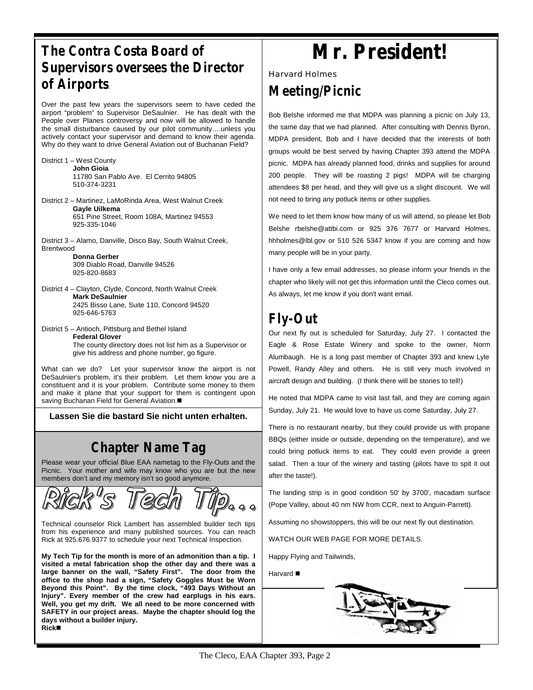# *The Contra Costa Board of Supervisors oversees the Director of Airports*.

Over the past few years the supervisors seem to have ceded the airport "problem" to Supervisor DeSaulnier. He has dealt with the People over Planes controversy and now will be allowed to handle the small disturbance caused by our pilot community….unless you actively contact your supervisor and demand to know their agenda. Why do they want to drive General Aviation out of Buchanan Field?

- District 1 West County **John Gioia** 11780 San Pablo Ave. El Cerrito 94805 510-374-3231
- District 2 Martinez, LaMoRinda Area, West Walnut Creek **Gayle Uilkema** 651 Pine Street, Room 108A, Martinez 94553 925-335-1046
- District 3 Alamo, Danville, Disco Bay, South Walnut Creek, Brentwood
	- **Donna Gerber** 309 Diablo Road, Danville 94526 925-820-8683
- District 4 Clayton, Clyde, Concord, North Walnut Creek **Mark DeSaulnier** 2425 Bisso Lane, Suite 110, Concord 94520 925-646-5763
- District 5 Antioch, Pittsburg and Bethel Island **Federal Glover** The county directory does not list him as a Supervisor or give his address and phone number, go figure.

*Please Turn To: Page 3* What can we do? Let your supervisor know the airport is not DeSaulnier's problem, it's their problem. Let them know you are a constituent and it is your problem. Contribute some money to them and make it plane that your support for them is contingent upon saving Buchanan Field for General Aviation.

**Lassen Sie die bastard Sie nicht unten erhalten.**

# *Chapter Name Tag*

Please wear your official Blue EAA nametag to the Fly-Outs and the Picnic. Your mother and wife may know who you are but the new members don't and my memory isn't so good anymore.



Technical counselor Rick Lambert has assembled builder tech tips from his experience and many published sources. You can reach Rick at 925.676.9377 to schedule your next Technical Inspection.

**My Tech Tip for the month is more of an admonition than a tip. I visited a metal fabrication shop the other day and there was a large banner on the wall, "Safety First". The door from the office to the shop had a sign, "Safety Goggles Must be Worn Beyond this Point". By the time clock, "493 Days Without an Injury". Every member of the crew had earplugs in his ears. Well, you get my drift. We all need to be more concerned with SAFETY in our project areas. Maybe the chapter should log the days without a builder injury. Rick**n

# **Mr. President!**

Harvard Holmes

#### *Meeting/Picnic*

Bob Belshe informed me that MDPA was planning a picnic on July 13, the same day that we had planned. After consulting with Dennis Byron, MDPA president, Bob and I have decided that the interests of both groups would be best served by having Chapter 393 attend the MDPA picnic. MDPA has already planned food, drinks and supplies for around 200 people. They will be roasting 2 pigs! MDPA will be charging attendees \$8 per head, and they will give us a slight discount. We will not need to bring any potluck items or other supplies.

We need to let them know how many of us will attend, so please let Bob Belshe rbelshe@attbi.com or 925 376 7677 or Harvard Holmes, hhholmes@lbl.gov or 510 526 5347 know if you are coming and how many people will be in your party.

I have only a few email addresses, so please inform your friends in the chapter who likely will not get this information until the Cleco comes out. As always, let me know if you don't want email.

# *Fly-Out*

Our next fly out is scheduled for Saturday, July 27. I contacted the Eagle & Rose Estate Winery and spoke to the owner, Norm Alumbaugh. He is a long past member of Chapter 393 and knew Lyle Powell, Randy Alley and others. He is still very much involved in aircraft design and building. (I think there will be stories to tell!)

He noted that MDPA came to visit last fall, and they are coming again Sunday, July 21. He would love to have us come Saturday, July 27.

There is no restaurant nearby, but they could provide us with propane BBQs (either inside or outside, depending on the temperature), and we could bring potluck items to eat. They could even provide a green salad. Then a tour of the winery and tasting (pilots have to spit it out after the taste!).

The landing strip is in good condition 50' by 3700', macadam surface (Pope Valley, about 40 nm NW from CCR, next to Anguin-Parrett).

Assuming no showstoppers, this will be our next fly out destination.

WATCH OUR WEB PAGE FOR MORE DETAILS.

Happy Flying and Tailwinds,

Harvard **n** 

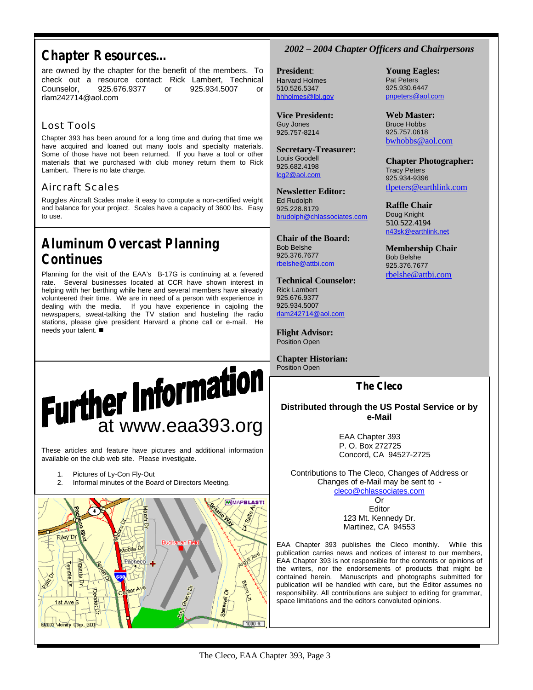#### *Chapter Resources…*

are owned by the chapter for the benefit of the members. To check out a resource contact: Rick Lambert, Technical Counselor, 925.676.9377 or 925.934.5007 or rlam242714@aol.com

#### Lost Tools

Chapter 393 has been around for a long time and during that time we have acquired and loaned out many tools and specialty materials. Some of those have not been returned. If you have a tool or other materials that we purchased with club money return them to Rick Lambert. There is no late charge.

#### Aircraft Scales

Ruggles Aircraft Scales make it easy to compute a non-certified weight and balance for your project. Scales have a capacity of 3600 lbs. Easy to use.

# *Aluminum Overcast Planning Continues*

Planning for the visit of the EAA's B-17G is continuing at a fevered rate. Several businesses located at CCR have shown interest in helping with her berthing while here and several members have already volunteered their time. We are in need of a person with experience in dealing with the media. If you have experience in cajoling the newspapers, sweat-talking the TV station and husteling the radio stations, please give president Harvard a phone call or e-mail. He needs your talent.  $\blacksquare$ 

# **Further Information**

These articles and feature have pictures and additional information available on the club web site. Please investigate.

- 1. Pictures of Ly-Con Fly-Out
- 2. Informal minutes of the Board of Directors Meeting.



#### *2002 – 2004 Chapter Officers and Chairpersons*

**Young Eagles:** Pat Peters 925.930.6447 pnpeters@aol.com

**Web Master:** Bruce Hobbs 925.757.0618 bwhobbs@aol.com

Tracy Peters 925.934-9396

**Raffle Chair** Doug Knight 510.522.4194 n43sk@earthlink.net **Membership Chair**

Bob Belshe 925.376.7677 rbelshe@attbi.com

**Chapter Photographer:**

tlpeters@earthlink.com

**President**: Harvard Holmes 510.526.5347 hhholmes@lbl.gov

**Vice President:** Guy Jones 925.757-8214

**Secretary-Treasurer:** Louis Goodell 925.682.4198 lcg2@aol.com

**Newsletter Editor:** Ed Rudolph 925.228.8179 brudolph@chlassociates.com

**Chair of the Board:** Bob Belshe 925.376.7677 rbelshe@attbi.com

**Technical Counselor:** Rick Lambert 925.676.9377 925.934.5007 rlam242714@aol.com

**Flight Advisor:** Position Open

**Chapter Historian:** Position Open

#### **The Cleco**

#### **Distributed through the US Postal Service or by e-Mail**

EAA Chapter 393 P. O. Box 272725 Concord, CA 94527-2725

Contributions to The Cleco, Changes of Address or Changes of e-Mail may be sent to cleco@chlassociates.com

Or Editor 123 Mt. Kennedy Dr. Martinez, CA 94553

EAA Chapter 393 publishes the Cleco monthly. While this publication carries news and notices of interest to our members, EAA Chapter 393 is not responsible for the contents or opinions of the writers, nor the endorsements of products that might be contained herein. Manuscripts and photographs submitted for publication will be handled with care, but the Editor assumes no responsibility. All contributions are subject to editing for grammar, space limitations and the editors convoluted opinions.